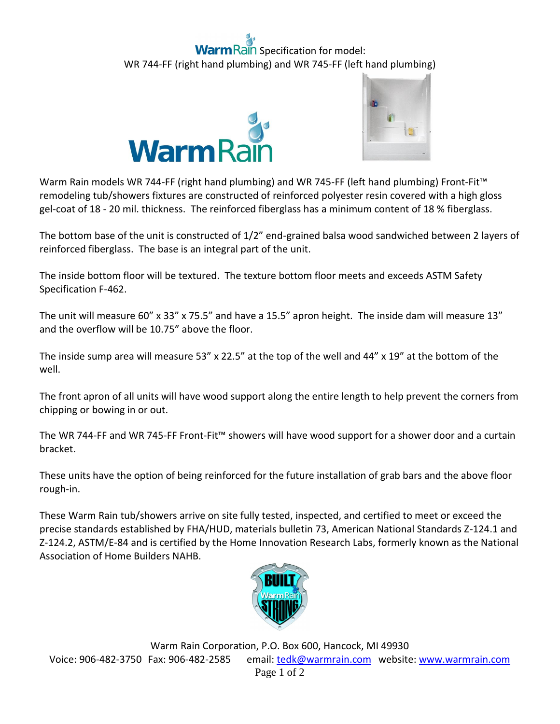## ain Specification for model: WR 744-FF (right hand plumbing) and WR 745-FF (left hand plumbing)





Warm Rain models WR 744-FF (right hand plumbing) and WR 745-FF (left hand plumbing) Front-Fit<sup>™</sup> remodeling tub/showers fixtures are constructed of reinforced polyester resin covered with a high gloss gel-coat of 18 - 20 mil. thickness. The reinforced fiberglass has a minimum content of 18 % fiberglass.

The bottom base of the unit is constructed of 1/2" end-grained balsa wood sandwiched between 2 layers of reinforced fiberglass. The base is an integral part of the unit.

The inside bottom floor will be textured. The texture bottom floor meets and exceeds ASTM Safety Specification F-462.

The unit will measure 60" x 33" x 75.5" and have a 15.5" apron height. The inside dam will measure 13" and the overflow will be 10.75" above the floor.

The inside sump area will measure 53" x 22.5" at the top of the well and 44" x 19" at the bottom of the well.

The front apron of all units will have wood support along the entire length to help prevent the corners from chipping or bowing in or out.

The WR 744-FF and WR 745-FF Front-Fit™ showers will have wood support for a shower door and a curtain bracket.

These units have the option of being reinforced for the future installation of grab bars and the above floor rough-in.

These Warm Rain tub/showers arrive on site fully tested, inspected, and certified to meet or exceed the precise standards established by FHA/HUD, materials bulletin 73, American National Standards Z-124.1 and Z-124.2, ASTM/E-84 and is certified by the Home Innovation Research Labs, formerly known as the National Association of Home Builders NAHB.